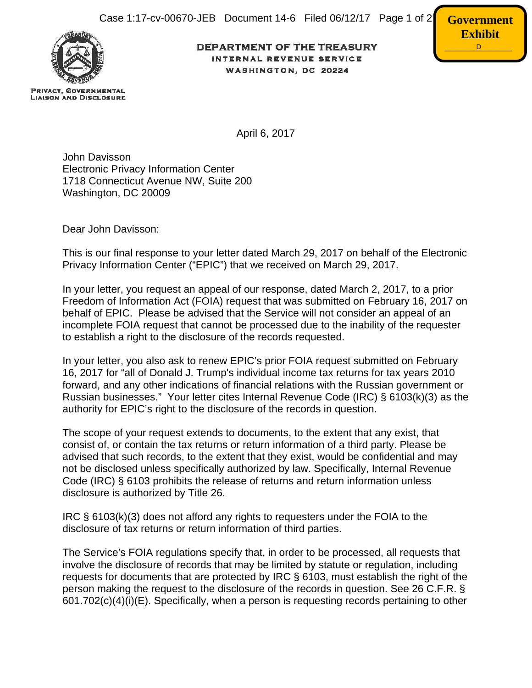

**PRIVACY, GOVERNMENTAL LIAISON AND DISCLOSURE**  **DEPARTMENT OF THE TREASURY** INTERNAL REVENUE SERVICE WASHINGTON, DC 20224



April 6, 2017

John Davisson Electronic Privacy Information Center 1718 Connecticut Avenue NW, Suite 200 Washington, DC 20009

Dear John Davisson:

This is our final response to your letter dated March 29, 2017 on behalf of the Electronic Privacy Information Center ("EPIC") that we received on March 29, 2017.

In your letter, you request an appeal of our response, dated March 2, 2017, to a prior Freedom of Information Act (FOIA) request that was submitted on February 16, 2017 on behalf of EPIC. Please be advised that the Service will not consider an appeal of an incomplete FOIA request that cannot be processed due to the inability of the requester to establish a right to the disclosure of the records requested.

In your letter, you also ask to renew EPIC's prior FOIA request submitted on February 16, 2017 for "all of Donald J. Trump's individual income tax returns for tax years 2010 forward, and any other indications of financial relations with the Russian government or Russian businesses." Your letter cites Internal Revenue Code (IRC) § 6103(k)(3) as the authority for EPIC's right to the disclosure of the records in question.

The scope of your request extends to documents, to the extent that any exist, that consist of, or contain the tax returns or return information of a third party. Please be advised that such records, to the extent that they exist, would be confidential and may not be disclosed unless specifically authorized by law. Specifically, Internal Revenue Code (IRC) § 6103 prohibits the release of returns and return information unless disclosure is authorized by Title 26.

IRC § 6103(k)(3) does not afford any rights to requesters under the FOIA to the disclosure of tax returns or return information of third parties.

The Service's FOIA regulations specify that, in order to be processed, all requests that involve the disclosure of records that may be limited by statute or regulation, including requests for documents that are protected by IRC § 6103, must establish the right of the person making the request to the disclosure of the records in question. See 26 C.F.R. § 601.702(c)(4)(i)(E). Specifically, when a person is requesting records pertaining to other